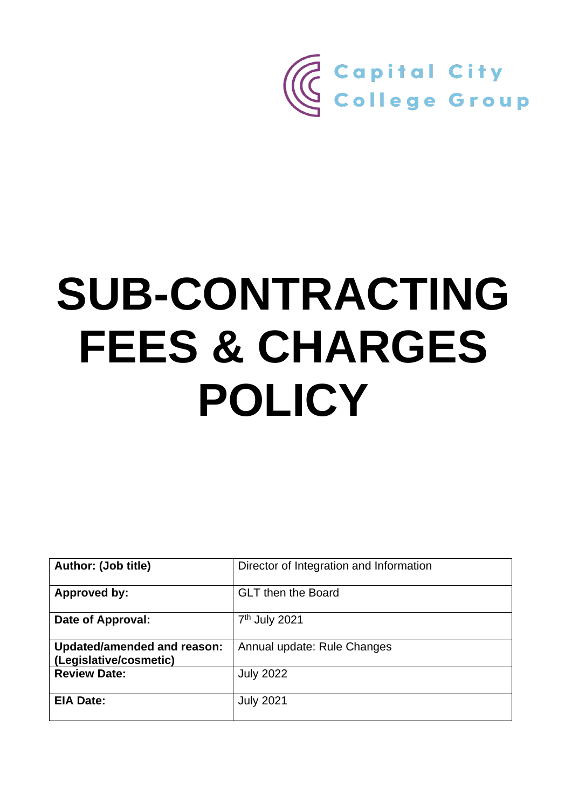

# **SUB-CONTRACTING FEES & CHARGES POLICY**

| <b>Author: (Job title)</b>                                   | Director of Integration and Information |
|--------------------------------------------------------------|-----------------------------------------|
| <b>Approved by:</b>                                          | <b>GLT</b> then the Board               |
| Date of Approval:                                            | 7 <sup>th</sup> July 2021               |
| <b>Updated/amended and reason:</b><br>(Legislative/cosmetic) | Annual update: Rule Changes             |
| <b>Review Date:</b>                                          | <b>July 2022</b>                        |
| <b>EIA Date:</b>                                             | <b>July 2021</b>                        |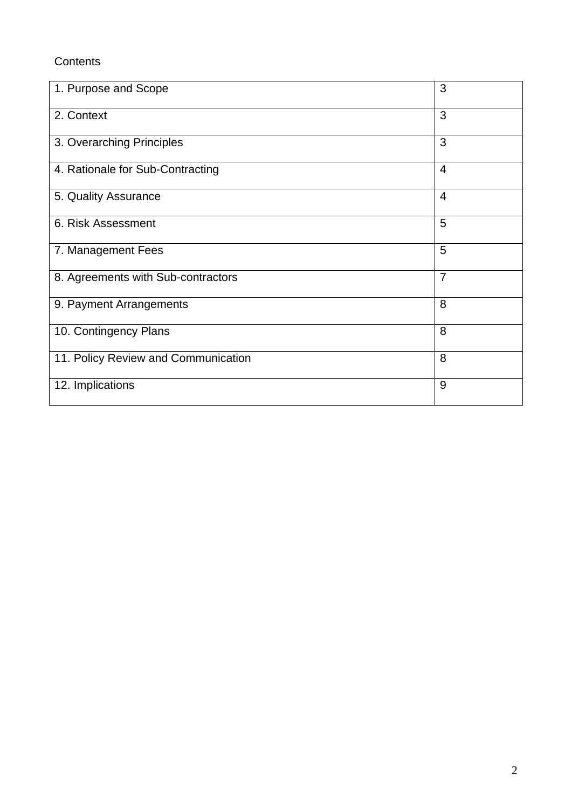# **Contents**

| 1. Purpose and Scope                | 3              |
|-------------------------------------|----------------|
| 2. Context                          | 3              |
| 3. Overarching Principles           | 3              |
| 4. Rationale for Sub-Contracting    | $\overline{4}$ |
| 5. Quality Assurance                | $\overline{4}$ |
| 6. Risk Assessment                  | 5              |
| 7. Management Fees                  | 5              |
| 8. Agreements with Sub-contractors  | $\overline{7}$ |
| 9. Payment Arrangements             | 8              |
| 10. Contingency Plans               | 8              |
| 11. Policy Review and Communication | 8              |
| 12. Implications                    | 9              |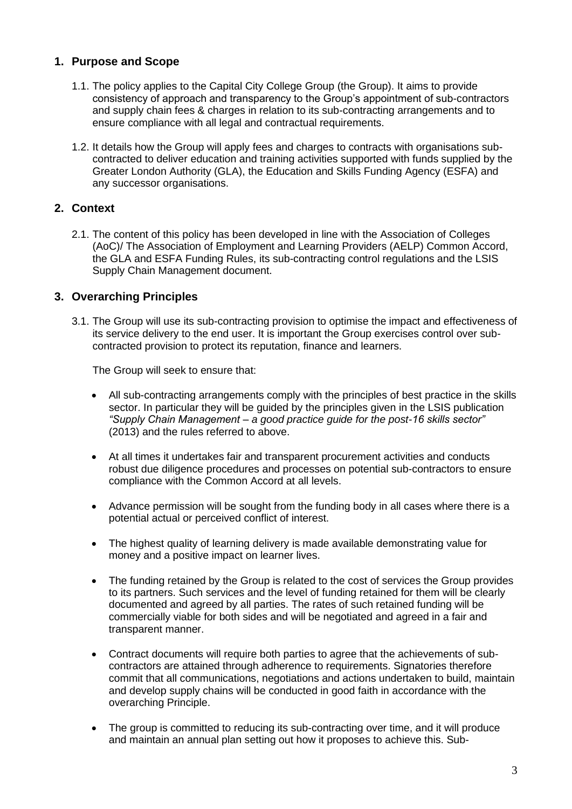# **1. Purpose and Scope**

- 1.1. The policy applies to the Capital City College Group (the Group). It aims to provide consistency of approach and transparency to the Group's appointment of sub-contractors and supply chain fees & charges in relation to its sub-contracting arrangements and to ensure compliance with all legal and contractual requirements.
- 1.2. It details how the Group will apply fees and charges to contracts with organisations subcontracted to deliver education and training activities supported with funds supplied by the Greater London Authority (GLA), the Education and Skills Funding Agency (ESFA) and any successor organisations.

# **2. Context**

2.1. The content of this policy has been developed in line with the Association of Colleges (AoC)/ The Association of Employment and Learning Providers (AELP) Common Accord, the GLA and ESFA Funding Rules, its sub-contracting control regulations and the LSIS Supply Chain Management document.

# **3. Overarching Principles**

3.1. The Group will use its sub-contracting provision to optimise the impact and effectiveness of its service delivery to the end user. It is important the Group exercises control over subcontracted provision to protect its reputation, finance and learners.

The Group will seek to ensure that:

- All sub-contracting arrangements comply with the principles of best practice in the skills sector. In particular they will be guided by the principles given in the LSIS publication *"Supply Chain Management – a good practice guide for the post-16 skills sector"*  (2013) and the rules referred to above.
- At all times it undertakes fair and transparent procurement activities and conducts robust due diligence procedures and processes on potential sub-contractors to ensure compliance with the Common Accord at all levels.
- Advance permission will be sought from the funding body in all cases where there is a potential actual or perceived conflict of interest.
- The highest quality of learning delivery is made available demonstrating value for money and a positive impact on learner lives.
- The funding retained by the Group is related to the cost of services the Group provides to its partners. Such services and the level of funding retained for them will be clearly documented and agreed by all parties. The rates of such retained funding will be commercially viable for both sides and will be negotiated and agreed in a fair and transparent manner.
- Contract documents will require both parties to agree that the achievements of subcontractors are attained through adherence to requirements. Signatories therefore commit that all communications, negotiations and actions undertaken to build, maintain and develop supply chains will be conducted in good faith in accordance with the overarching Principle.
- The group is committed to reducing its sub-contracting over time, and it will produce and maintain an annual plan setting out how it proposes to achieve this. Sub-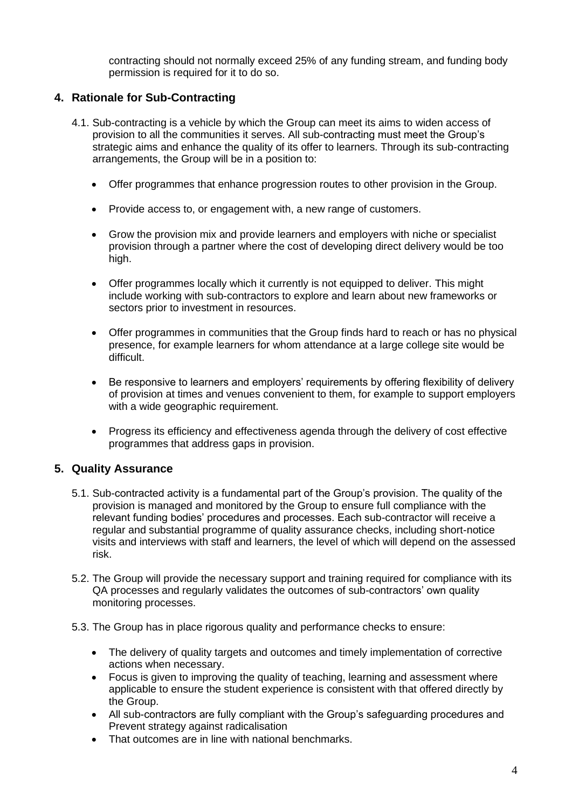contracting should not normally exceed 25% of any funding stream, and funding body permission is required for it to do so.

# **4. Rationale for Sub-Contracting**

- 4.1. Sub-contracting is a vehicle by which the Group can meet its aims to widen access of provision to all the communities it serves. All sub-contracting must meet the Group's strategic aims and enhance the quality of its offer to learners. Through its sub-contracting arrangements, the Group will be in a position to:
	- Offer programmes that enhance progression routes to other provision in the Group.
	- Provide access to, or engagement with, a new range of customers.
	- Grow the provision mix and provide learners and employers with niche or specialist provision through a partner where the cost of developing direct delivery would be too high.
	- Offer programmes locally which it currently is not equipped to deliver. This might include working with sub-contractors to explore and learn about new frameworks or sectors prior to investment in resources.
	- Offer programmes in communities that the Group finds hard to reach or has no physical presence, for example learners for whom attendance at a large college site would be difficult.
	- Be responsive to learners and employers' requirements by offering flexibility of delivery of provision at times and venues convenient to them, for example to support employers with a wide geographic requirement.
	- Progress its efficiency and effectiveness agenda through the delivery of cost effective programmes that address gaps in provision.

#### **5. Quality Assurance**

- 5.1. Sub-contracted activity is a fundamental part of the Group's provision. The quality of the provision is managed and monitored by the Group to ensure full compliance with the relevant funding bodies' procedures and processes. Each sub-contractor will receive a regular and substantial programme of quality assurance checks, including short-notice visits and interviews with staff and learners, the level of which will depend on the assessed risk.
- 5.2. The Group will provide the necessary support and training required for compliance with its QA processes and regularly validates the outcomes of sub-contractors' own quality monitoring processes.
- 5.3. The Group has in place rigorous quality and performance checks to ensure:
	- The delivery of quality targets and outcomes and timely implementation of corrective actions when necessary.
	- Focus is given to improving the quality of teaching, learning and assessment where applicable to ensure the student experience is consistent with that offered directly by the Group.
	- All sub-contractors are fully compliant with the Group's safeguarding procedures and Prevent strategy against radicalisation
	- That outcomes are in line with national benchmarks.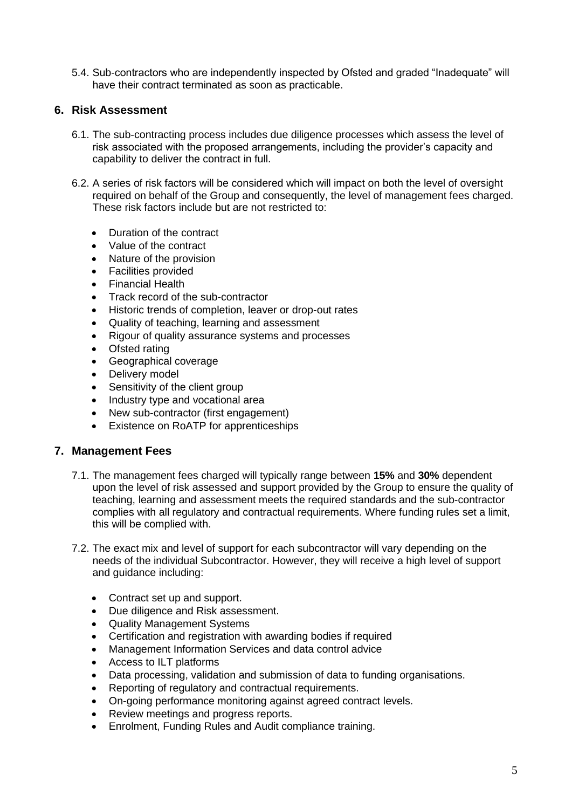5.4. Sub-contractors who are independently inspected by Ofsted and graded "Inadequate" will have their contract terminated as soon as practicable.

#### **6. Risk Assessment**

- 6.1. The sub-contracting process includes due diligence processes which assess the level of risk associated with the proposed arrangements, including the provider's capacity and capability to deliver the contract in full.
- 6.2. A series of risk factors will be considered which will impact on both the level of oversight required on behalf of the Group and consequently, the level of management fees charged. These risk factors include but are not restricted to:
	- Duration of the contract
	- Value of the contract
	- Nature of the provision
	- Facilities provided
	- Financial Health
	- Track record of the sub-contractor
	- Historic trends of completion, leaver or drop-out rates
	- Quality of teaching, learning and assessment
	- Rigour of quality assurance systems and processes
	- Ofsted rating
	- Geographical coverage
	- Delivery model
	- Sensitivity of the client group
	- Industry type and vocational area
	- New sub-contractor (first engagement)
	- Existence on RoATP for apprenticeships

#### **7. Management Fees**

- 7.1. The management fees charged will typically range between **15%** and **30%** dependent upon the level of risk assessed and support provided by the Group to ensure the quality of teaching, learning and assessment meets the required standards and the sub-contractor complies with all regulatory and contractual requirements. Where funding rules set a limit, this will be complied with.
- 7.2. The exact mix and level of support for each subcontractor will vary depending on the needs of the individual Subcontractor. However, they will receive a high level of support and guidance including:
	- Contract set up and support.
	- Due diligence and Risk assessment.
	- Quality Management Systems
	- Certification and registration with awarding bodies if required
	- Management Information Services and data control advice
	- Access to ILT platforms
	- Data processing, validation and submission of data to funding organisations.
	- Reporting of regulatory and contractual requirements.
	- On-going performance monitoring against agreed contract levels.
	- Review meetings and progress reports.
	- Enrolment, Funding Rules and Audit compliance training.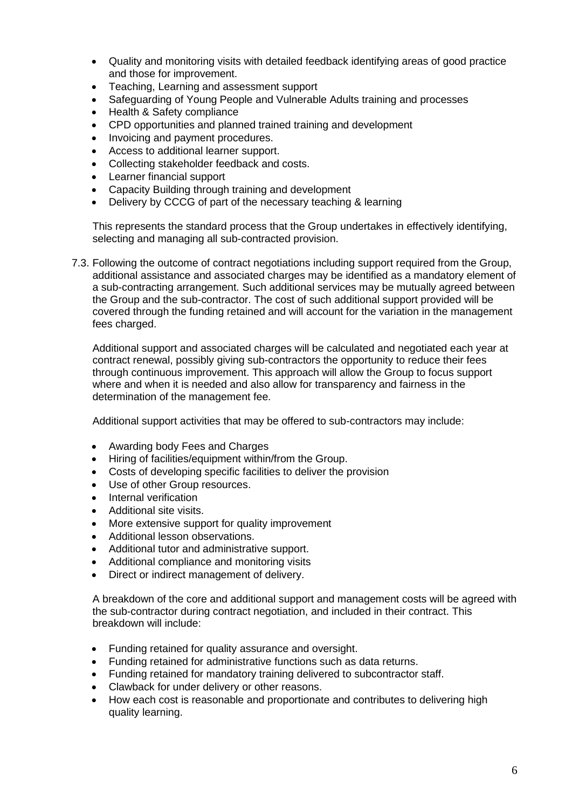- Quality and monitoring visits with detailed feedback identifying areas of good practice and those for improvement.
- Teaching, Learning and assessment support
- Safeguarding of Young People and Vulnerable Adults training and processes
- Health & Safety compliance
- CPD opportunities and planned trained training and development
- Invoicing and payment procedures.
- Access to additional learner support.
- Collecting stakeholder feedback and costs.
- Learner financial support
- Capacity Building through training and development
- Delivery by CCCG of part of the necessary teaching & learning

This represents the standard process that the Group undertakes in effectively identifying, selecting and managing all sub-contracted provision.

7.3. Following the outcome of contract negotiations including support required from the Group, additional assistance and associated charges may be identified as a mandatory element of a sub-contracting arrangement. Such additional services may be mutually agreed between the Group and the sub-contractor. The cost of such additional support provided will be covered through the funding retained and will account for the variation in the management fees charged.

Additional support and associated charges will be calculated and negotiated each year at contract renewal, possibly giving sub-contractors the opportunity to reduce their fees through continuous improvement. This approach will allow the Group to focus support where and when it is needed and also allow for transparency and fairness in the determination of the management fee.

Additional support activities that may be offered to sub-contractors may include:

- Awarding body Fees and Charges
- Hiring of facilities/equipment within/from the Group.
- Costs of developing specific facilities to deliver the provision
- Use of other Group resources.
- Internal verification
- Additional site visits.
- More extensive support for quality improvement
- Additional lesson observations.
- Additional tutor and administrative support.
- Additional compliance and monitoring visits
- Direct or indirect management of delivery.

A breakdown of the core and additional support and management costs will be agreed with the sub-contractor during contract negotiation, and included in their contract. This breakdown will include:

- Funding retained for quality assurance and oversight.
- Funding retained for administrative functions such as data returns.
- Funding retained for mandatory training delivered to subcontractor staff.
- Clawback for under delivery or other reasons.
- How each cost is reasonable and proportionate and contributes to delivering high quality learning.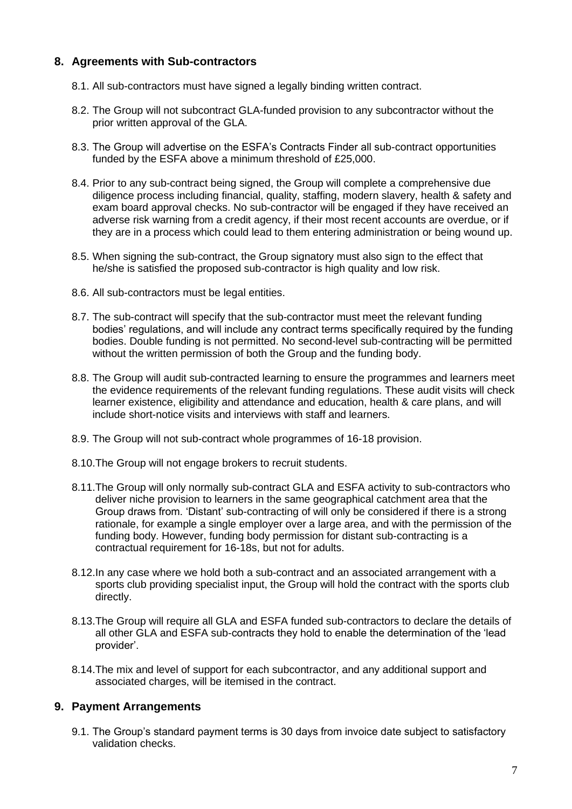# **8. Agreements with Sub-contractors**

- 8.1. All sub-contractors must have signed a legally binding written contract.
- 8.2. The Group will not subcontract GLA-funded provision to any subcontractor without the prior written approval of the GLA.
- 8.3. The Group will advertise on the ESFA's Contracts Finder all sub-contract opportunities funded by the ESFA above a minimum threshold of £25,000.
- 8.4. Prior to any sub-contract being signed, the Group will complete a comprehensive due diligence process including financial, quality, staffing, modern slavery, health & safety and exam board approval checks. No sub-contractor will be engaged if they have received an adverse risk warning from a credit agency, if their most recent accounts are overdue, or if they are in a process which could lead to them entering administration or being wound up.
- 8.5. When signing the sub-contract, the Group signatory must also sign to the effect that he/she is satisfied the proposed sub-contractor is high quality and low risk.
- 8.6. All sub-contractors must be legal entities.
- 8.7. The sub-contract will specify that the sub-contractor must meet the relevant funding bodies' regulations, and will include any contract terms specifically required by the funding bodies. Double funding is not permitted. No second-level sub-contracting will be permitted without the written permission of both the Group and the funding body.
- 8.8. The Group will audit sub-contracted learning to ensure the programmes and learners meet the evidence requirements of the relevant funding regulations. These audit visits will check learner existence, eligibility and attendance and education, health & care plans, and will include short-notice visits and interviews with staff and learners.
- 8.9. The Group will not sub-contract whole programmes of 16-18 provision.
- 8.10.The Group will not engage brokers to recruit students.
- 8.11.The Group will only normally sub-contract GLA and ESFA activity to sub-contractors who deliver niche provision to learners in the same geographical catchment area that the Group draws from. 'Distant' sub-contracting of will only be considered if there is a strong rationale, for example a single employer over a large area, and with the permission of the funding body. However, funding body permission for distant sub-contracting is a contractual requirement for 16-18s, but not for adults.
- 8.12.In any case where we hold both a sub-contract and an associated arrangement with a sports club providing specialist input, the Group will hold the contract with the sports club directly.
- 8.13.The Group will require all GLA and ESFA funded sub-contractors to declare the details of all other GLA and ESFA sub-contracts they hold to enable the determination of the 'lead provider'.
- 8.14.The mix and level of support for each subcontractor, and any additional support and associated charges, will be itemised in the contract.

#### **9. Payment Arrangements**

9.1. The Group's standard payment terms is 30 days from invoice date subject to satisfactory validation checks.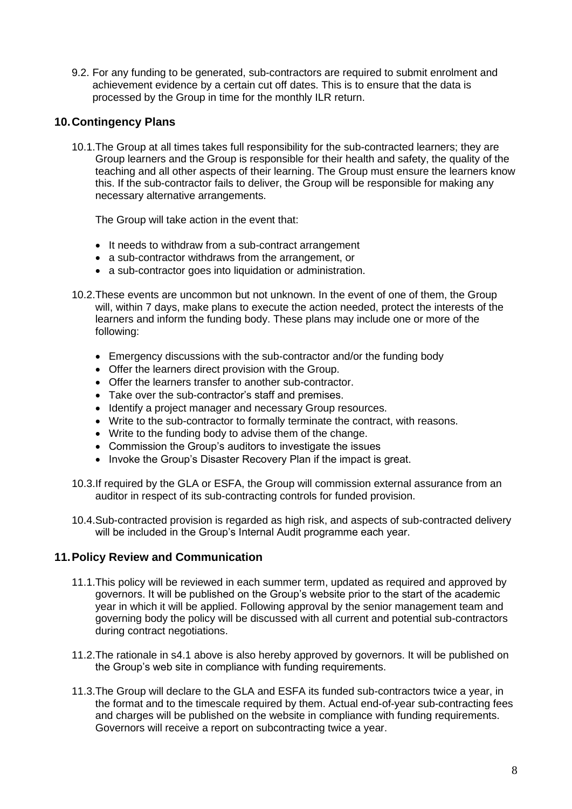9.2. For any funding to be generated, sub-contractors are required to submit enrolment and achievement evidence by a certain cut off dates. This is to ensure that the data is processed by the Group in time for the monthly ILR return.

# **10.Contingency Plans**

10.1.The Group at all times takes full responsibility for the sub-contracted learners; they are Group learners and the Group is responsible for their health and safety, the quality of the teaching and all other aspects of their learning. The Group must ensure the learners know this. If the sub-contractor fails to deliver, the Group will be responsible for making any necessary alternative arrangements.

The Group will take action in the event that:

- It needs to withdraw from a sub-contract arrangement
- a sub-contractor withdraws from the arrangement, or
- a sub-contractor goes into liquidation or administration.
- 10.2.These events are uncommon but not unknown. In the event of one of them, the Group will, within 7 days, make plans to execute the action needed, protect the interests of the learners and inform the funding body. These plans may include one or more of the following:
	- Emergency discussions with the sub-contractor and/or the funding body
	- Offer the learners direct provision with the Group.
	- Offer the learners transfer to another sub-contractor.
	- Take over the sub-contractor's staff and premises.
	- Identify a project manager and necessary Group resources.
	- Write to the sub-contractor to formally terminate the contract, with reasons.
	- Write to the funding body to advise them of the change.
	- Commission the Group's auditors to investigate the issues
	- Invoke the Group's Disaster Recovery Plan if the impact is great.
- 10.3.If required by the GLA or ESFA, the Group will commission external assurance from an auditor in respect of its sub-contracting controls for funded provision.
- 10.4.Sub-contracted provision is regarded as high risk, and aspects of sub-contracted delivery will be included in the Group's Internal Audit programme each year.

#### **11.Policy Review and Communication**

- 11.1.This policy will be reviewed in each summer term, updated as required and approved by governors. It will be published on the Group's website prior to the start of the academic year in which it will be applied. Following approval by the senior management team and governing body the policy will be discussed with all current and potential sub-contractors during contract negotiations.
- 11.2.The rationale in s4.1 above is also hereby approved by governors. It will be published on the Group's web site in compliance with funding requirements.
- 11.3.The Group will declare to the GLA and ESFA its funded sub-contractors twice a year, in the format and to the timescale required by them. Actual end-of-year sub-contracting fees and charges will be published on the website in compliance with funding requirements. Governors will receive a report on subcontracting twice a year.